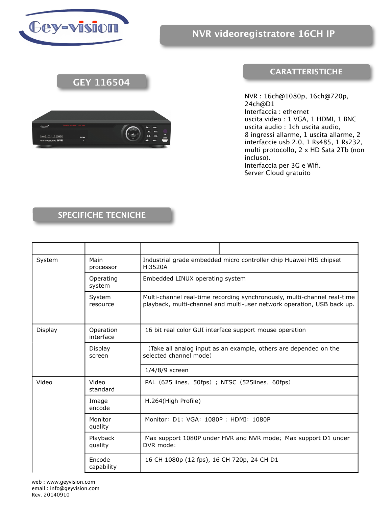

## **GEY 116504**



## **CARATTERISTICHE**

NVR : 16ch@1080p, 16ch@720p, 24ch@D1 Interfaccia : ethernet uscita video : 1 VGA, 1 HDMI, 1 BNC uscita audio : 1ch uscita audio, 8 ingressi allarme, 1 uscita allarme, 2 interfaccie usb 2.0, 1 Rs485, 1 Rs232, multi protocollo, 2 x HD Sata 2Tb (non incluso). Interfaccia per 3G e Wifi. Server Cloud gratuito

## **SPECIFICHE TECNICHE**

| System  | Main<br>processor      | Industrial grade embedded micro controller chip Huawei HIS chipset<br>Hi3520A                                                                      |
|---------|------------------------|----------------------------------------------------------------------------------------------------------------------------------------------------|
|         | Operating<br>system    | Embedded LINUX operating system                                                                                                                    |
|         | System<br>resource     | Multi-channel real-time recording synchronously, multi-channel real-time<br>playback, multi-channel and multi-user network operation, USB back up. |
| Display | Operation<br>interface | 16 bit real color GUI interface support mouse operation                                                                                            |
|         | Display<br>screen      | (Take all analog input as an example, others are depended on the<br>selected channel mode)                                                         |
|         |                        | $1/4/8/9$ screen                                                                                                                                   |
| Video   | Video<br>standard      | PAL (625 lines, 50fps); NTSC (525lines, 60fps)                                                                                                     |
|         | Image<br>encode        | H.264(High Profile)                                                                                                                                |
|         | Monitor<br>quality     | Monitor: D1; VGA: 1080P; HDMI: 1080P                                                                                                               |
|         | Playback<br>quality    | Max support 1080P under HVR and NVR mode; Max support D1 under<br>DVR mode:                                                                        |
|         | Encode<br>capability   | 16 CH 1080p (12 fps), 16 CH 720p, 24 CH D1                                                                                                         |